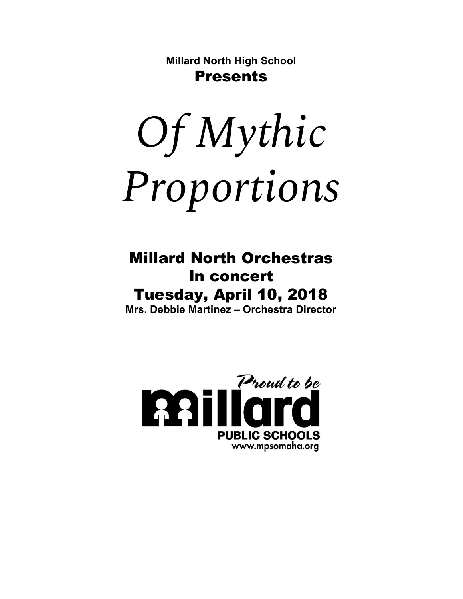**Millard North High School** Presents

*Of Mythic Proportions*

### Millard North Orchestras In concert Tuesday, April 10, 2018 **Mrs. Debbie Martinez – Orchestra Director**

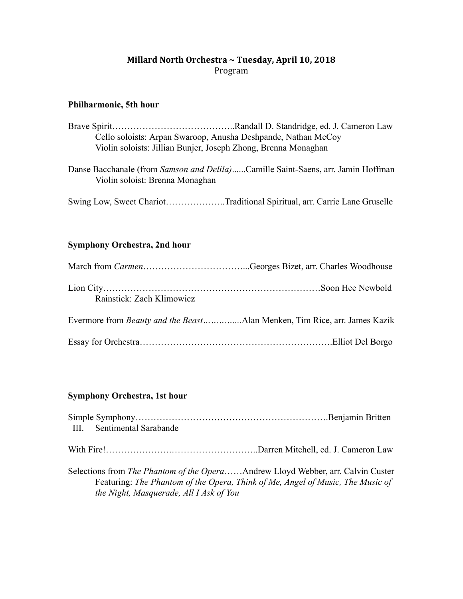#### **Millard North Orchestra ~ Tuesday, April 10, 2018** Program

#### **Philharmonic, 5th hour**

|                                                                | Cello soloists: Arpan Swaroop, Anusha Deshpande, Nathan McCoy |  |
|----------------------------------------------------------------|---------------------------------------------------------------|--|
| Violin soloists: Jillian Bunjer, Joseph Zhong, Brenna Monaghan |                                                               |  |
|                                                                |                                                               |  |

Danse Bacchanale (from *Samson and Delila)......Camille Saint-Saens*, arr. Jamin Hoffman Violin soloist: Brenna Monaghan

Swing Low, Sweet Chariot………………..Traditional Spiritual, arr. Carrie Lane Gruselle

#### **Symphony Orchestra, 2nd hour**

| Rainstick: Zach Klimowicz |                                                                           |
|---------------------------|---------------------------------------------------------------------------|
|                           | Evermore from Beauty and the BeastAlan Menken, Tim Rice, arr. James Kazik |
|                           |                                                                           |

#### **Symphony Orchestra, 1st hour**

| III. Sentimental Sarabande                                                              |  |
|-----------------------------------------------------------------------------------------|--|
|                                                                                         |  |
| Selections from <i>The Phantom of the Opera</i> Andrew Lloyd Webber, arr. Calvin Custer |  |
| Featuring: The Phantom of the Opera, Think of Me, Angel of Music, The Music of          |  |
| the Night, Masquerade, All I Ask of You                                                 |  |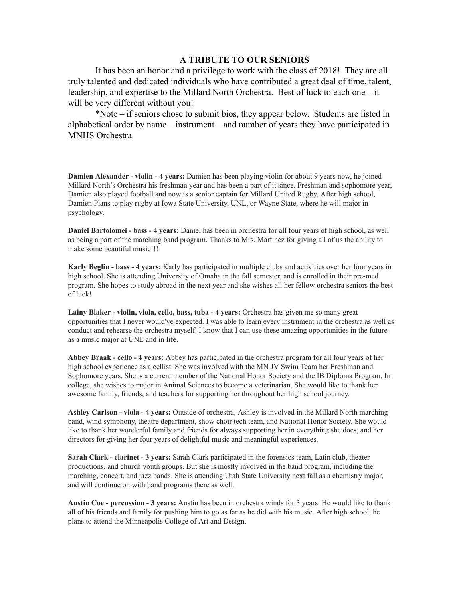#### **A TRIBUTE TO OUR SENIORS**

It has been an honor and a privilege to work with the class of 2018! They are all truly talented and dedicated individuals who have contributed a great deal of time, talent, leadership, and expertise to the Millard North Orchestra. Best of luck to each one – it will be very different without you!

\*Note – if seniors chose to submit bios, they appear below. Students are listed in alphabetical order by name – instrument – and number of years they have participated in MNHS Orchestra.

**Damien Alexander** - violin - 4 years: Damien has been playing violin for about 9 years now, he joined Millard North's Orchestra his freshman year and has been a part of it since. Freshman and sophomore year, Damien also played football and now is a senior captain for Millard United Rugby. After high school, Damien Plans to play rugby at Iowa State University, UNL, or Wayne State, where he will major in psychology.

**Daniel Bartolomei bass 4 years:** Daniel has been in orchestra for all four years of high school, as well as being a part of the marching band program. Thanks to Mrs. Martinez for giving all of us the ability to make some beautiful music!!!

**Karly Beglin bass 4 years:** Karly has participated in multiple clubs and activities over her four years in high school. She is attending University of Omaha in the fall semester, and is enrolled in their pre-med program. She hopes to study abroad in the next year and she wishes all her fellow orchestra seniors the best of luck!

**Lainy Blaker violin, viola, cello, bass, tuba 4 years:** Orchestra has given me so many great opportunities that I never would've expected. I was able to learn every instrument in the orchestra as well as conduct and rehearse the orchestra myself. I know that I can use these amazing opportunities in the future as a music major at UNL and in life.

**Abbey Braak cello 4 years:** Abbey has participated in the orchestra program for all four years of her high school experience as a cellist. She was involved with the MN JV Swim Team her Freshman and Sophomore years. She is a current member of the National Honor Society and the IB Diploma Program. In college, she wishes to major in Animal Sciences to become a veterinarian. She would like to thank her awesome family, friends, and teachers for supporting her throughout her high school journey.

**Ashley Carlson viola 4 years:** Outside of orchestra, Ashley is involved in the Millard North marching band, wind symphony, theatre department, show choir tech team, and National Honor Society. She would like to thank her wonderful family and friends for always supporting her in everything she does, and her directors for giving her four years of delightful music and meaningful experiences.

**Sarah Clark clarinet 3 years:** Sarah Clark participated in the forensics team, Latin club, theater productions, and church youth groups. But she is mostly involved in the band program, including the marching, concert, and jazz bands. She is attending Utah State University next fall as a chemistry major, and will continue on with band programs there as well.

**Austin Coe percussion 3 years:** Austin has been in orchestra winds for 3 years. He would like to thank all of his friends and family for pushing him to go as far as he did with his music. After high school, he plans to attend the Minneapolis College of Art and Design.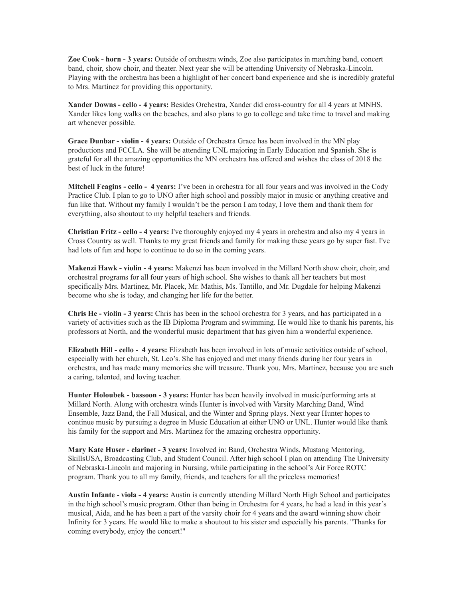**Zoe Cook horn 3 years:** Outside of orchestra winds, Zoe also participates in marching band, concert band, choir, show choir, and theater. Next year she will be attending University of Nebraska-Lincoln. Playing with the orchestra has been a highlight of her concert band experience and she is incredibly grateful to Mrs. Martinez for providing this opportunity.

**Xander Downs cello 4 years:** Besides Orchestra, Xander did crosscountry for all 4 years at MNHS. Xander likes long walks on the beaches, and also plans to go to college and take time to travel and making art whenever possible.

**Grace Dunbar violin 4 years:** Outside of Orchestra Grace has been involved in the MN play productions and FCCLA. She will be attending UNL majoring in Early Education and Spanish. She is grateful for all the amazing opportunities the MN orchestra has offered and wishes the class of 2018 the best of luck in the future!

**Mitchell Feagins cello 4 years:** I've been in orchestra for all four years and was involved in the Cody Practice Club. I plan to go to UNO after high school and possibly major in music or anything creative and fun like that. Without my family I wouldn't be the person I am today, I love them and thank them for everything, also shoutout to my helpful teachers and friends.

**Christian Fritz cello 4 years:** I've thoroughly enjoyed my 4 years in orchestra and also my 4 years in Cross Country as well. Thanks to my great friends and family for making these years go by super fast. I've had lots of fun and hope to continue to do so in the coming years.

**Makenzi Hawk violin 4 years:** Makenzi has been involved in the Millard North show choir, choir, and orchestral programs for all four years of high school. She wishes to thank all her teachers but most specifically Mrs. Martinez, Mr. Placek, Mr. Mathis, Ms. Tantillo, and Mr. Dugdale for helping Makenzi become who she is today, and changing her life for the better.

**Chris He violin 3 years:** Chris has been in the school orchestra for 3 years, and has participated in a variety of activities such as the IB Diploma Program and swimming. He would like to thank his parents, his professors at North, and the wonderful music department that has given him a wonderful experience.

**Elizabeth Hill cello 4 years:** Elizabeth has been involved in lots of music activities outside of school, especially with her church, St. Leo's. She has enjoyed and met many friends during her four years in orchestra, and has made many memories she will treasure. Thank you, Mrs. Martinez, because you are such a caring, talented, and loving teacher.

**Hunter Holoubek bassoon 3 years:** Hunter has been heavily involved in music/performing arts at Millard North. Along with orchestra winds Hunter is involved with Varsity Marching Band, Wind Ensemble, Jazz Band, the Fall Musical, and the Winter and Spring plays. Next year Hunter hopes to continue music by pursuing a degree in Music Education at either UNO or UNL. Hunter would like thank his family for the support and Mrs. Martinez for the amazing orchestra opportunity.

**Mary Kate Huser clarinet 3 years:** Involved in: Band, Orchestra Winds, Mustang Mentoring, SkillsUSA, Broadcasting Club, and Student Council. After high school I plan on attending The University of NebraskaLincoln and majoring in Nursing, while participating in the school's Air Force ROTC program. Thank you to all my family, friends, and teachers for all the priceless memories!

**Austin Infante viola 4 years:** Austin is currently attending Millard North High School and participates in the high school's music program. Other than being in Orchestra for 4 years, he had a lead in this year's musical, Aida, and he has been a part of the varsity choir for 4 years and the award winning show choir Infinity for 3 years. He would like to make a shoutout to his sister and especially his parents. "Thanks for coming everybody, enjoy the concert!"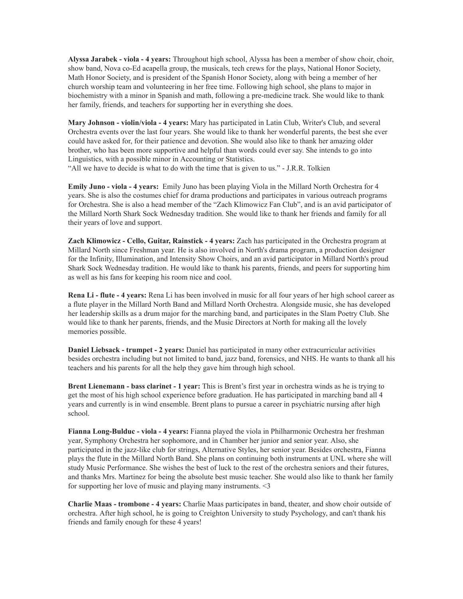**Alyssa Jarabek viola 4 years:** Throughout high school, Alyssa has been a member of show choir, choir, show band, Nova co-Ed acapella group, the musicals, tech crews for the plays, National Honor Society, Math Honor Society, and is president of the Spanish Honor Society, along with being a member of her church worship team and volunteering in her free time. Following high school, she plans to major in biochemistry with a minor in Spanish and math, following a pre-medicine track. She would like to thank her family, friends, and teachers for supporting her in everything she does.

**Mary Johnson violin/viola 4 years:** Mary has participated in Latin Club, Writer's Club, and several Orchestra events over the last four years. She would like to thank her wonderful parents, the best she ever could have asked for, for their patience and devotion. She would also like to thank her amazing older brother, who has been more supportive and helpful than words could ever say. She intends to go into Linguistics, with a possible minor in Accounting or Statistics.

"All we have to decide is what to do with the time that is given to us." J.R.R. Tolkien

**Emily Juno viola 4 years:** Emily Juno has been playing Viola in the Millard North Orchestra for 4 years. She is also the costumes chief for drama productions and participates in various outreach programs for Orchestra. She is also a head member of the "Zach Klimowicz Fan Club", and is an avid participator of the Millard North Shark Sock Wednesday tradition. She would like to thank her friends and family for all their years of love and support.

**Zach Klimowicz Cello, Guitar, Rainstick 4 years:** Zach has participated in the Orchestra program at Millard North since Freshman year. He is also involved in North's drama program, a production designer for the Infinity, Illumination, and Intensity Show Choirs, and an avid participator in Millard North's proud Shark Sock Wednesday tradition. He would like to thank his parents, friends, and peers for supporting him as well as his fans for keeping his room nice and cool.

**Rena Li flute 4 years:** Rena Li has been involved in music for all four years of her high school career as a flute player in the Millard North Band and Millard North Orchestra. Alongside music, she has developed her leadership skills as a drum major for the marching band, and participates in the Slam Poetry Club. She would like to thank her parents, friends, and the Music Directors at North for making all the lovely memories possible.

**Daniel Liebsack trumpet 2 years:** Daniel has participated in many other extracurricular activities besides orchestra including but not limited to band, jazz band, forensics, and NHS. He wants to thank all his teachers and his parents for all the help they gave him through high school.

**Brent Lienemann bass clarinet 1 year:** This is Brent's first year in orchestra winds as he is trying to get the most of his high school experience before graduation. He has participated in marching band all 4 years and currently is in wind ensemble. Brent plans to pursue a career in psychiatric nursing after high school.

**Fianna Long-Bulduc - viola - 4 years:** Fianna played the viola in Philharmonic Orchestra her freshman year, Symphony Orchestra her sophomore, and in Chamber her junior and senior year. Also, she participated in the jazzlike club for strings, Alternative Styles, her senior year. Besides orchestra, Fianna plays the flute in the Millard North Band. She plans on continuing both instruments at UNL where she will study Music Performance. She wishes the best of luck to the rest of the orchestra seniors and their futures, and thanks Mrs. Martinez for being the absolute best music teacher. She would also like to thank her family for supporting her love of music and playing many instruments. <3

**Charlie Maas trombone 4 years:** Charlie Maas participates in band, theater, and show choir outside of orchestra. After high school, he is going to Creighton University to study Psychology, and can't thank his friends and family enough for these 4 years!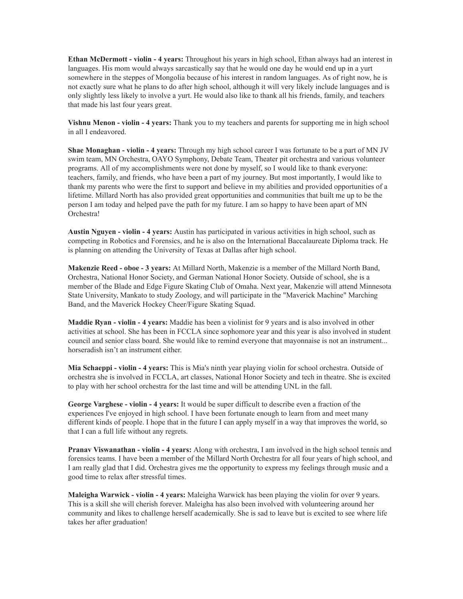**Ethan McDermott violin 4 years:** Throughout his years in high school, Ethan always had an interest in languages. His mom would always sarcastically say that he would one day he would end up in a yurt somewhere in the steppes of Mongolia because of his interest in random languages. As of right now, he is not exactly sure what he plans to do after high school, although it will very likely include languages and is only slightly less likely to involve a yurt. He would also like to thank all his friends, family, and teachers that made his last four years great.

**Vishnu Menon violin 4 years:** Thank you to my teachers and parents for supporting me in high school in all I endeavored.

**Shae Monaghan violin 4 years:** Through my high school career I was fortunate to be a part of MN JV swim team, MN Orchestra, OAYO Symphony, Debate Team, Theater pit orchestra and various volunteer programs. All of my accomplishments were not done by myself, so I would like to thank everyone: teachers, family, and friends, who have been a part of my journey. But most importantly, I would like to thank my parents who were the first to support and believe in my abilities and provided opportunities of a lifetime. Millard North has also provided great opportunities and communities that built me up to be the person I am today and helped pave the path for my future. I am so happy to have been apart of MN Orchestra!

**Austin Nguyen violin 4 years:** Austin has participated in various activities in high school, such as competing in Robotics and Forensics, and he is also on the International Baccalaureate Diploma track. He is planning on attending the University of Texas at Dallas after high school.

**Makenzie Reed oboe 3 years:** At Millard North, Makenzie is a member of the Millard North Band, Orchestra, National Honor Society, and German National Honor Society. Outside of school, she is a member of the Blade and Edge Figure Skating Club of Omaha. Next year, Makenzie will attend Minnesota State University, Mankato to study Zoology, and will participate in the "Maverick Machine" Marching Band, and the Maverick Hockey Cheer/Figure Skating Squad.

**Maddie Ryan violin 4 years:** Maddie has been a violinist for 9 years and is also involved in other activities at school. She has been in FCCLA since sophomore year and this year is also involved in student council and senior class board. She would like to remind everyone that mayonnaise is not an instrument... horseradish isn't an instrument either.

**Mia Schaeppi violin 4 years:** This is Mia's ninth year playing violin for school orchestra. Outside of orchestra she is involved in FCCLA, art classes, National Honor Society and tech in theatre. She is excited to play with her school orchestra for the last time and will be attending UNL in the fall.

**George Varghese violin 4 years:** It would be super difficult to describe even a fraction of the experiences I've enjoyed in high school. I have been fortunate enough to learn from and meet many different kinds of people. I hope that in the future I can apply myself in a way that improves the world, so that I can a full life without any regrets.

**Pranav Viswanathan violin 4 years:** Along with orchestra, I am involved in the high school tennis and forensics teams. I have been a member of the Millard North Orchestra for all four years of high school, and I am really glad that I did. Orchestra gives me the opportunity to express my feelings through music and a good time to relax after stressful times.

**Maleigha Warwick violin 4 years:** Maleigha Warwick has been playing the violin for over 9 years. This is a skill she will cherish forever. Maleigha has also been involved with volunteering around her community and likes to challenge herself academically. She is sad to leave but is excited to see where life takes her after graduation!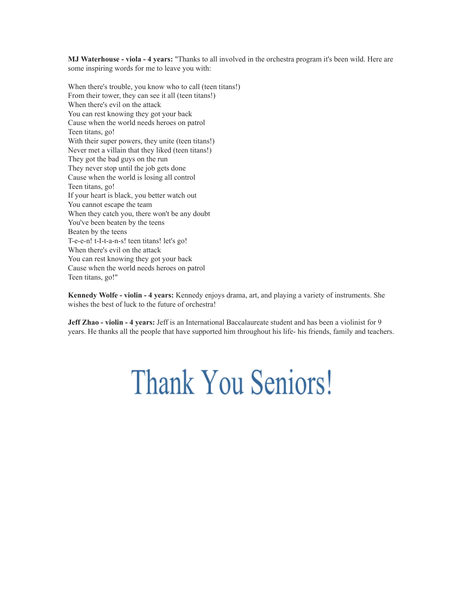**MJ Waterhouse viola 4 years:** "Thanks to all involved in the orchestra program it's been wild. Here are some inspiring words for me to leave you with:

When there's trouble, you know who to call (teen titans!) From their tower, they can see it all (teen titans!) When there's evil on the attack You can rest knowing they got your back Cause when the world needs heroes on patrol Teen titans, go! With their super powers, they unite (teen titans!) Never met a villain that they liked (teen titans!) They got the bad guys on the run They never stop until the job gets done Cause when the world is losing all control Teen titans, go! If your heart is black, you better watch out You cannot escape the team When they catch you, there won't be any doubt You've been beaten by the teens Beaten by the teens T-e-e-n! t-I-t-a-n-s! teen titans! let's go! When there's evil on the attack You can rest knowing they got your back Cause when the world needs heroes on patrol Teen titans, go!"

**Kennedy Wolfe violin 4 years:** Kennedy enjoys drama, art, and playing a variety of instruments. She wishes the best of luck to the future of orchestra!

**Jeff Zhao violin 4 years:** Jeff is an International Baccalaureate student and has been a violinist for 9 years. He thanks all the people that have supported him throughout his life- his friends, family and teachers.

## **Thank You Seniors!**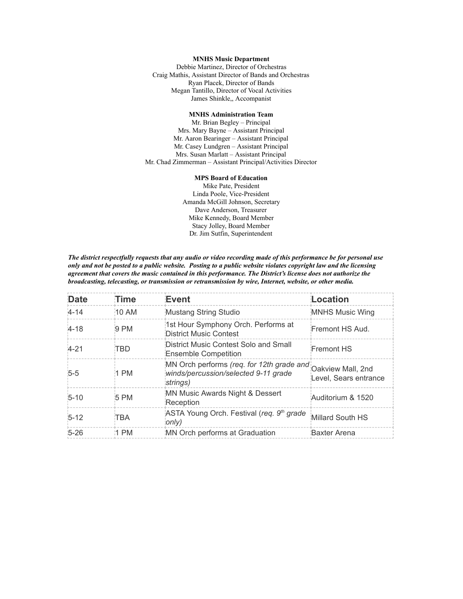#### **MNHS Music Department**

Debbie Martinez, Director of Orchestras Craig Mathis, Assistant Director of Bands and Orchestras Ryan Placek, Director of Bands Megan Tantillo, Director of Vocal Activities James Shinkle,, Accompanist

#### **MNHS Administration Team**

Mr. Brian Begley – Principal Mrs. Mary Bayne – Assistant Principal Mr. Aaron Bearinger – Assistant Principal Mr. Casey Lundgren – Assistant Principal Mrs. Susan Marlatt – Assistant Principal Mr. Chad Zimmerman – Assistant Principal/Activities Director

#### **MPS Board of Education**

Mike Pate, President Linda Poole, Vice-President Amanda McGill Johnson, Secretary Dave Anderson, Treasurer Mike Kennedy, Board Member Stacy Jolley, Board Member Dr. Jim Sutfin, Superintendent

*The district respectfully requests that any audio or video recording made of this performance be for personal use only and not be posted to a public website. Posting to a public website violates copyright law and the licensing agreement that covers the music contained in this performance. The District's license does not authorize the broadcasting, telecasting, or transmission or retransmission by wire, Internet, website, or other media.*

| <b>Date</b> | Time       | Event                                                                                         | Location                                   |
|-------------|------------|-----------------------------------------------------------------------------------------------|--------------------------------------------|
| $4 - 14$    | 10AM       | Mustang String Studio                                                                         | MNHS Music Wing                            |
| $4 - 18$    | 9 PM       | 1st Hour Symphony Orch. Performs at<br>District Music Contest                                 | Fremont HS Aud.                            |
| $4 - 21$    | TBD        | District Music Contest Solo and Small<br>Ensemble Competition                                 | Fremont HS                                 |
| $5 - 5$     | 1 PM       | MN Orch performs (req. for 12th grade and<br>winds/percussion/selected 9-11 grade<br>strings) | Oakview Mall, 2nd<br>Level, Sears entrance |
| $5 - 10$    | 5 PM       | MN Music Awards Night & Dessert<br>Reception                                                  | Auditorium & 1520                          |
| $5 - 12$    | <b>TBA</b> | ASTA Young Orch. Festival (req. 9 <sup>th</sup> grade<br>only)                                | Millard South HS                           |
| $5 - 26$    | $1$ PM     | MN Orch performs at Graduation                                                                | <b>Baxter Arena</b>                        |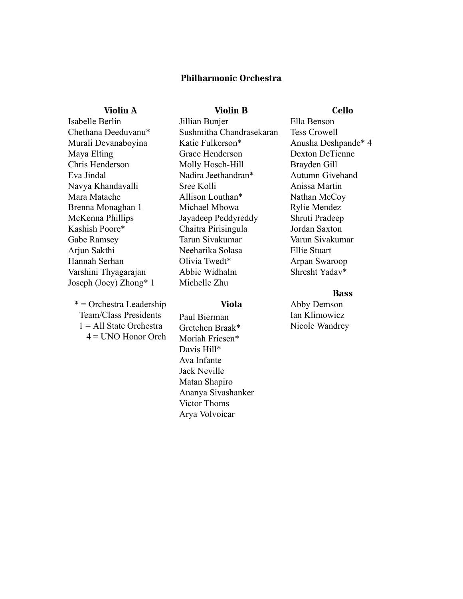#### **Philharmonic Orchestra**

#### **Violin A**

#### **Violin B**

Isabelle Berlin Chethana Deeduvanu\* Murali Devanaboyina Maya Elting Chris Henderson Eva Jindal Navya Khandavalli Mara Matache Brenna Monaghan 1 McKenna Phillips Kashish Poore\* Gabe Ramsey Arjun Sakthi Hannah Serhan Varshini Thyagarajan Joseph (Joey) Zhong\* 1

\* = Orchestra Leadership Team/Class Presidents  $1 =$  All State Orchestra 4 = UNO Honor Orch Jillian Bunjer Sushmitha Chandrasekaran Katie Fulkerson\* Grace Henderson Molly Hosch-Hill Nadira Jeethandran\* Sree Kolli Allison Louthan\* Michael Mbowa Jayadeep Peddyreddy Chaitra Pirisingula Tarun Sivakumar Neeharika Solasa Olivia Twedt\* Abbie Widhalm Michelle Zhu

#### **Viola**

Paul Bierman Gretchen Braak\* Moriah Friesen\* Davis Hill\* Ava Infante Jack Neville Matan Shapiro Ananya Sivashanker Victor Thoms Arya Volvoicar

#### **Cello**

Ella Benson Tess Crowell Anusha Deshpande\* 4 Dexton DeTienne Brayden Gill Autumn Givehand Anissa Martin Nathan McCoy Rylie Mendez Shruti Pradeep Jordan Saxton Varun Sivakumar Ellie Stuart Arpan Swaroop Shresht Yadav\*

#### **Bass**

Abby Demson Ian Klimowicz Nicole Wandrey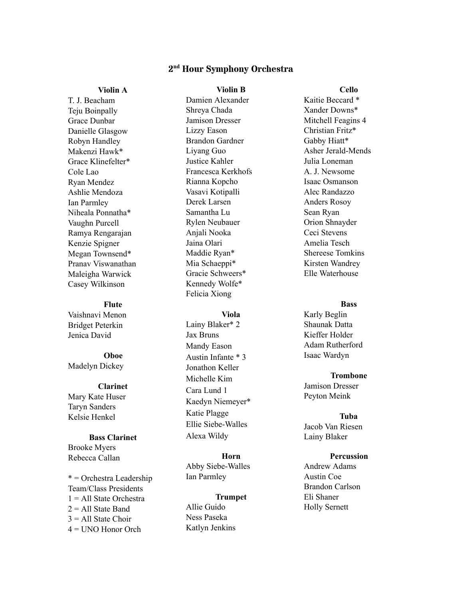#### **2 nd Hour Symphony Orchestra**

**Violin B**

#### **Violin A**

T. J. Beacham Teju Boinpally Grace Dunbar Danielle Glasgow Robyn Handley Makenzi Hawk\* Grace Klinefelter\* Cole Lao Ryan Mendez Ashlie Mendoza Ian Parmley Niheala Ponnatha\* Vaughn Purcell Ramya Rengarajan Kenzie Spigner Megan Townsend\* Pranav Viswanathan Maleigha Warwick Casey Wilkinson

#### **Flute**

Vaishnavi Menon Bridget Peterkin Jenica David

#### **Oboe** Madelyn Dickey

#### **Clarinet**

Mary Kate Huser Taryn Sanders Kelsie Henkel

#### **Bass Clarinet**

Brooke Myers Rebecca Callan

\* = Orchestra Leadership Team/Class Presidents  $1 = All State Order$  $2 =$  All State Band  $3 =$  All State Choir 4 = UNO Honor Orch

Damien Alexander Shreya Chada Jamison Dresser Lizzy Eason Brandon Gardner Liyang Guo Justice Kahler Francesca Kerkhofs Rianna Kopcho Vasavi Kotipalli Derek Larsen Samantha Lu Rylen Neubauer Anjali Nooka Jaina Olari Maddie Ryan\* Mia Schaeppi\* Gracie Schweers\* Kennedy Wolfe\* Felicia Xiong

#### **Viola**

Lainy Blaker\* 2 Jax Bruns Mandy Eason Austin Infante \* 3 Jonathon Keller Michelle Kim Cara Lund 1 Kaedyn Niemeyer\* Katie Plagge Ellie Siebe-Walles Alexa Wildy

#### **Horn** Abby Siebe-Walles Ian Parmley

#### **Trumpet**

Allie Guido Ness Paseka Katlyn Jenkins Kaitie Beccard \* Xander Downs\* Mitchell Feagins 4 Christian Fritz\* Gabby Hiatt\* Asher Jerald-Mends Julia Loneman A. J. Newsome Isaac Osmanson Alec Randazzo Anders Rosoy Sean Ryan Orion Shnayder Ceci Stevens Amelia Tesch Shereese Tomkins Kirsten Wandrey Elle Waterhouse

#### **Bass**

- Karly Beglin Shaunak Datta Kieffer Holder Adam Rutherford Isaac Wardyn
	- **Trombone**

Jamison Dresser Peyton Meink

#### **Tuba**

Jacob Van Riesen Lainy Blaker

#### **Percussion**

Andrew Adams Austin Coe Brandon Carlson Eli Shaner Holly Sernett

#### **Cello**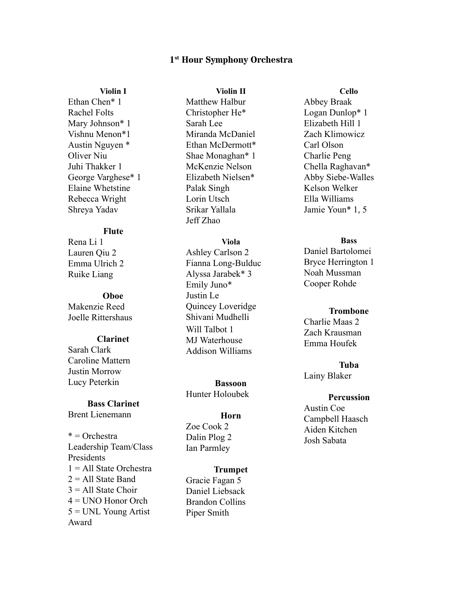#### **1 st Hour Symphony Orchestra**

#### **Violin I**

Ethan Chen\* 1 Rachel Folts Mary Johnson\* 1 Vishnu Menon\*1 Austin Nguyen \* Oliver Niu Juhi Thakker 1 George Varghese\* 1 Elaine Whetstine Rebecca Wright Shreya Yadav

#### **Flute**

Rena Li 1 Lauren Qiu 2 Emma Ulrich 2 Ruike Liang

#### **Oboe**

Makenzie Reed Joelle Rittershaus

#### **Clarinet**

Sarah Clark Caroline Mattern Justin Morrow Lucy Peterkin

#### **Bass Clarinet**

Brent Lienemann

\* = Orchestra Leadership Team/Class Presidents  $1 = All State Order$  $2 =$  All State Band  $3 = All State Choice$ 4 = UNO Honor Orch 5 = UNL Young Artist Award

#### **Violin II**

Matthew Halbur Christopher He\* Sarah Lee Miranda McDaniel Ethan McDermott\* Shae Monaghan\* 1 McKenzie Nelson Elizabeth Nielsen\* Palak Singh Lorin Utsch Srikar Yallala Jeff Zhao

#### **Viola**

Ashley Carlson 2 Fianna Long-Bulduc Alyssa Jarabek\* 3 Emily Juno\* Justin Le Quincey Loveridge Shivani Mudhelli Will Talbot 1 MJ Waterhouse Addison Williams

**Bassoon** Hunter Holoubek

#### **Horn**

Zoe Cook 2 Dalin Plog 2 Ian Parmley

#### **Trumpet** Gracie Fagan 5 Daniel Liebsack Brandon Collins Piper Smith

**Cello** Abbey Braak Logan Dunlop\* 1 Elizabeth Hill 1 Zach Klimowicz Carl Olson Charlie Peng Chella Raghavan\* Abby Siebe-Walles Kelson Welker Ella Williams Jamie Youn\* 1, 5

#### **Bass**

Daniel Bartolomei Bryce Herrington 1 Noah Mussman Cooper Rohde

#### **Trombone**

Charlie Maas 2 Zach Krausman Emma Houfek

**Tuba** Lainy Blaker

#### **Percussion**

Austin Coe Campbell Haasch Aiden Kitchen Josh Sabata